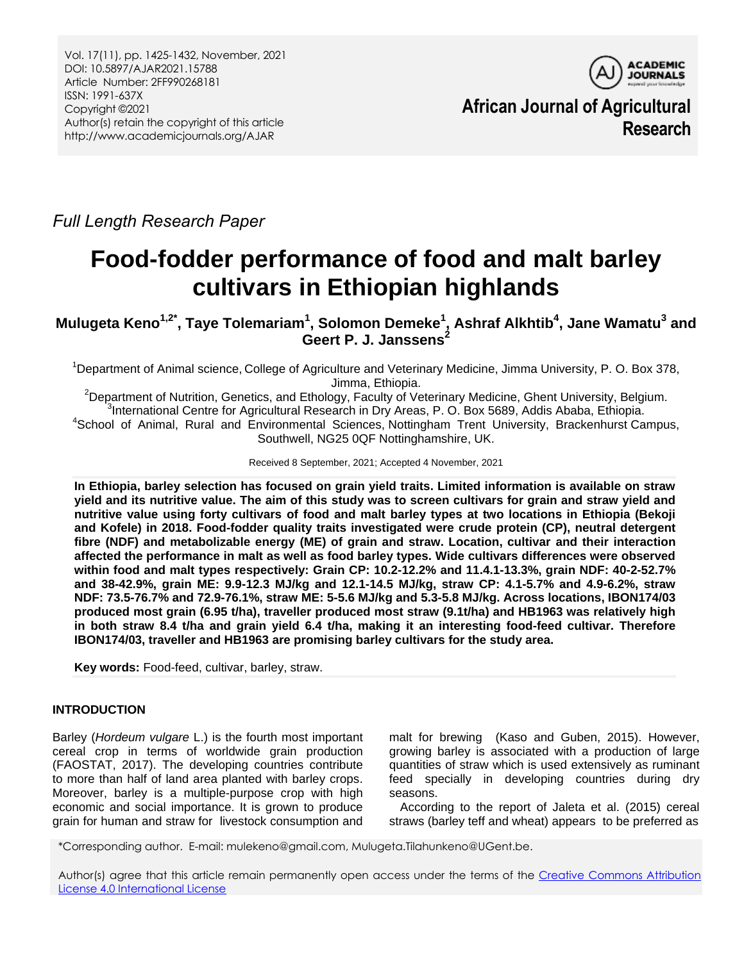

**African Journal of Agricultural Research**

*Full Length Research Paper*

# **Food-fodder performance of food and malt barley cultivars in Ethiopian highlands**

**Mulugeta Keno1,2\* , Taye Tolemariam<sup>1</sup> , Solomon Demeke<sup>1</sup> , Ashraf Alkhtib<sup>4</sup> , Jane Wamatu<sup>3</sup> and Geert P. J. Janssens<sup>2</sup>**

<sup>1</sup>Department of Animal science, College of Agriculture and Veterinary Medicine, Jimma University, P. O. Box 378, Jimma, Ethiopia.

<sup>2</sup>Department of Nutrition, Genetics, and Ethology, Faculty of Veterinary Medicine, Ghent University, Belgium. 3 International Centre for Agricultural Research in Dry Areas, P. O. Box 5689, Addis Ababa, Ethiopia. <sup>4</sup>School of Animal, Rural and Environmental Sciences, Nottingham Trent University, Brackenhurst Campus, Southwell, NG25 0QF Nottinghamshire, UK.

Received 8 September, 2021; Accepted 4 November, 2021

**In Ethiopia, barley selection has focused on grain yield traits. Limited information is available on straw yield and its nutritive value. The aim of this study was to screen cultivars for grain and straw yield and nutritive value using forty cultivars of food and malt barley types at two locations in Ethiopia (Bekoji and Kofele) in 2018. Food-fodder quality traits investigated were crude protein (CP), neutral detergent fibre (NDF) and metabolizable energy (ME) of grain and straw. Location, cultivar and their interaction affected the performance in malt as well as food barley types. Wide cultivars differences were observed within food and malt types respectively: Grain CP: 10.2-12.2% and 11.4.1-13.3%, grain NDF: 40-2-52.7% and 38-42.9%, grain ME: 9.9-12.3 MJ/kg and 12.1-14.5 MJ/kg, straw CP: 4.1-5.7% and 4.9-6.2%, straw NDF: 73.5-76.7% and 72.9-76.1%, straw ME: 5-5.6 MJ/kg and 5.3-5.8 MJ/kg. Across locations, IBON174/03 produced most grain (6.95 t/ha), traveller produced most straw (9.1t/ha) and HB1963 was relatively high in both straw 8.4 t/ha and grain yield 6.4 t/ha, making it an interesting food-feed cultivar. Therefore IBON174/03, traveller and HB1963 are promising barley cultivars for the study area.**

**Key words:** Food-feed, cultivar, barley, straw.

# **INTRODUCTION**

Barley (*Hordeum vulgare* L.) is the fourth most important cereal crop in terms of worldwide grain production (FAOSTAT, 2017). The developing countries contribute to more than half of land area planted with barley crops. Moreover, barley is a multiple-purpose crop with high economic and social importance. It is grown to produce grain for human and straw for livestock consumption and malt for brewing (Kaso and Guben, 2015). However, growing barley is associated with a production of large quantities of straw which is used extensively as ruminant feed specially in developing countries during dry seasons.

According to the report of Jaleta et al. (2015) cereal straws (barley teff and wheat) appears to be preferred as

\*Corresponding author. E-mail: mulekeno@gmail.com, Mulugeta.Tilahunkeno@UGent.be.

Author(s) agree that this article remain permanently open access under the terms of the Creative Commons Attribution [License 4.0 International License](http://creativecommons.org/licenses/by/4.0/deed.en_US)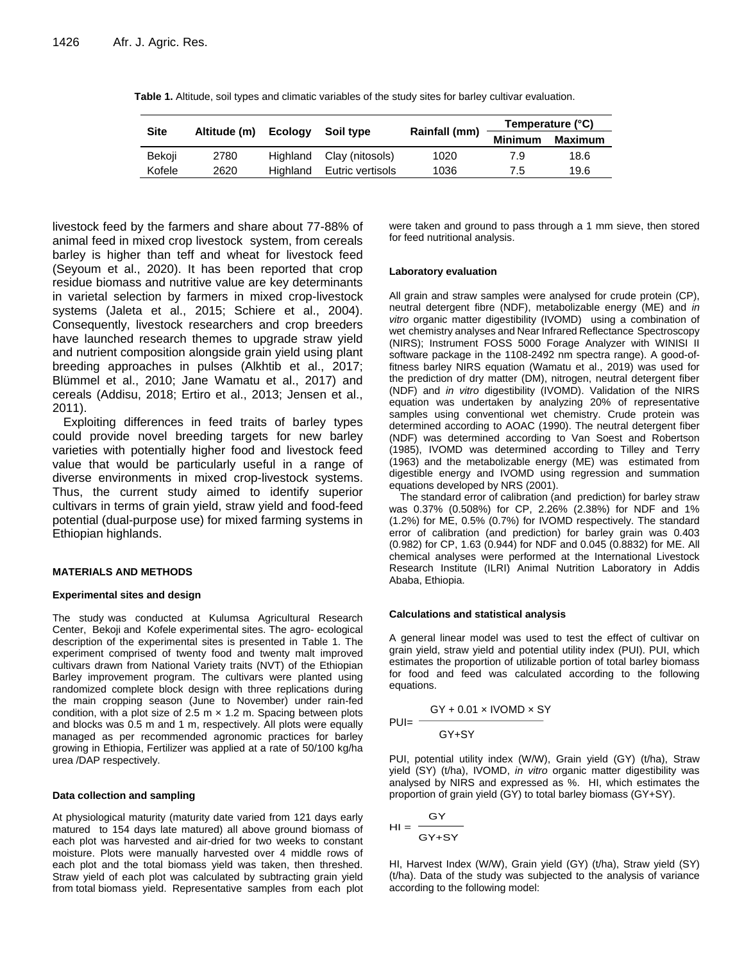| <b>Site</b> | Altitude (m) | Ecoloav  | Soil type                |               | Temperature (°C) |                |  |
|-------------|--------------|----------|--------------------------|---------------|------------------|----------------|--|
|             |              |          |                          | Rainfall (mm) | <b>Minimum</b>   | <b>Maximum</b> |  |
| Bekoji      | 2780         |          | Highland Clay (nitosols) | 1020          | 7.9              | 18.6           |  |
| Kofele      | 2620         | Highland | Eutric vertisols         | 1036          | 7.5              | 19.6           |  |

**Table 1.** Altitude, soil types and climatic variables of the study sites for barley cultivar evaluation.

livestock feed by the farmers and share about 77-88% of animal feed in mixed crop livestock system, from cereals barley is higher than teff and wheat for livestock feed (Seyoum et al., 2020). It has been reported that crop residue biomass and nutritive value are key determinants in varietal selection by farmers in mixed crop-livestock systems (Jaleta et al., 2015; Schiere et al., 2004). Consequently, livestock researchers and crop breeders have launched research themes to upgrade straw yield and nutrient composition alongside grain yield using plant breeding approaches in pulses (Alkhtib et al., 2017; Blümmel et al., 2010; Jane Wamatu et al., 2017) and cereals (Addisu, 2018; Ertiro et al., 2013; Jensen et al., 2011).

Exploiting differences in feed traits of barley types could provide novel breeding targets for new barley varieties with potentially higher food and livestock feed value that would be particularly useful in a range of diverse environments in mixed crop-livestock systems. Thus, the current study aimed to identify superior cultivars in terms of grain yield, straw yield and food-feed potential (dual-purpose use) for mixed farming systems in Ethiopian highlands.

### **MATERIALS AND METHODS**

### **Experimental sites and design**

The study was conducted at Kulumsa Agricultural Research Center, Bekoji and Kofele experimental sites. The agro- ecological description of the experimental sites is presented in Table 1. The experiment comprised of twenty food and twenty malt improved cultivars drawn from National Variety traits (NVT) of the Ethiopian Barley improvement program. The cultivars were planted using randomized complete block design with three replications during the main cropping season (June to November) under rain-fed condition, with a plot size of 2.5 m  $\times$  1.2 m. Spacing between plots and blocks was 0.5 m and 1 m, respectively. All plots were equally managed as per recommended agronomic practices for barley growing in Ethiopia, Fertilizer was applied at a rate of 50/100 kg/ha urea /DAP respectively.

### **Data collection and sampling**

At physiological maturity (maturity date varied from 121 days early matured to 154 days late matured) all above ground biomass of each plot was harvested and air-dried for two weeks to constant moisture. Plots were manually harvested over 4 middle rows of each plot and the total biomass yield was taken, then threshed. Straw yield of each plot was calculated by subtracting grain yield from total biomass yield. Representative samples from each plot

were taken and ground to pass through a 1 mm sieve, then stored for feed nutritional analysis.

#### **Laboratory evaluation**

All grain and straw samples were analysed for crude protein (CP), neutral detergent fibre (NDF), metabolizable energy (ME) and *in vitro* organic matter digestibility (IVOMD) using a combination of wet chemistry analyses and Near Infrared Reflectance Spectroscopy (NIRS); Instrument FOSS 5000 Forage Analyzer with WINISI II software package in the 1108-2492 nm spectra range). A good-offitness barley NIRS equation (Wamatu et al., 2019) was used for the prediction of dry matter (DM), nitrogen, neutral detergent fiber (NDF) and *in vitro* digestibility (IVOMD). Validation of the NIRS equation was undertaken by analyzing 20% of representative samples using conventional wet chemistry. Crude protein was determined according to AOAC (1990). The neutral detergent fiber (NDF) was determined according to Van Soest and Robertson (1985), IVOMD was determined according to Tilley and Terry (1963) and the metabolizable energy (ME) was estimated from digestible energy and IVOMD using regression and summation equations developed by NRS (2001).

The standard error of calibration (and prediction) for barley straw was 0.37% (0.508%) for CP, 2.26% (2.38%) for NDF and 1% (1.2%) for ME, 0.5% (0.7%) for IVOMD respectively. The standard error of calibration (and prediction) for barley grain was 0.403 (0.982) for CP, 1.63 (0.944) for NDF and 0.045 (0.8832) for ME. All chemical analyses were performed at the International Livestock Research Institute (ILRI) Animal Nutrition Laboratory in Addis Ababa, Ethiopia.

### **Calculations and statistical analysis**

A general linear model was used to test the effect of cultivar on grain yield, straw yield and potential utility index (PUI). PUI, which estimates the proportion of utilizable portion of total barley biomass for food and feed was calculated according to the following equations.

$$
PUI = \frac{GY + 0.01 \times IVOMD \times SY}{GY + SY}
$$

PUI, potential utility index (W/W), Grain yield (GY) (t/ha), Straw yield (SY) (t/ha), IVOMD, *in vitro* organic matter digestibility was analysed by NIRS and expressed as %. HI, which estimates the proportion of grain yield (GY) to total barley biomass (GY+SY).

$$
HI = \frac{GY}{GY + SY}
$$

HI, Harvest Index (W/W), Grain yield (GY) (t/ha), Straw yield (SY) (t/ha). Data of the study was subjected to the analysis of variance according to the following model: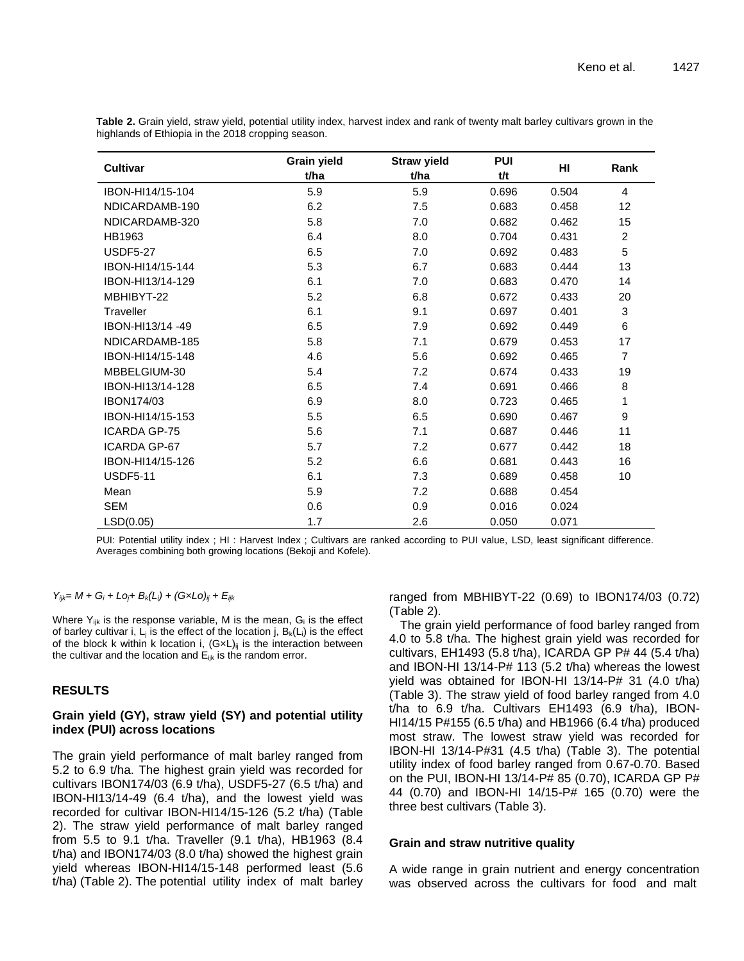| Cultivar            | <b>Grain yield</b><br>t/ha | <b>Straw yield</b><br>t/ha | <b>PUI</b><br>t/t | HI    | Rank            |
|---------------------|----------------------------|----------------------------|-------------------|-------|-----------------|
| IBON-HI14/15-104    | 5.9                        | 5.9                        | 0.696             | 0.504 | $\overline{4}$  |
| NDICARDAMB-190      | 6.2                        | 7.5                        | 0.683             | 0.458 | 12 <sub>2</sub> |
| NDICARDAMB-320      | 5.8                        | 7.0                        | 0.682             | 0.462 | 15              |
| HB1963              | 6.4                        | 8.0                        | 0.704             | 0.431 | $\overline{c}$  |
| <b>USDF5-27</b>     | 6.5                        | 7.0                        | 0.692             | 0.483 | 5               |
| IBON-HI14/15-144    | 5.3                        | 6.7                        | 0.683             | 0.444 | 13              |
| IBON-HI13/14-129    | 6.1                        | 7.0                        | 0.683             | 0.470 | 14              |
| MBHIBYT-22          | 5.2                        | 6.8                        | 0.672             | 0.433 | 20              |
| Traveller           | 6.1                        | 9.1                        | 0.697             | 0.401 | 3               |
| IBON-HI13/14 -49    | 6.5                        | 7.9                        | 0.692             | 0.449 | 6               |
| NDICARDAMB-185      | 5.8                        | 7.1                        | 0.679             | 0.453 | 17              |
| IBON-HI14/15-148    | 4.6                        | 5.6                        | 0.692             | 0.465 | $\overline{7}$  |
| MBBELGIUM-30        | 5.4                        | 7.2                        | 0.674             | 0.433 | 19              |
| IBON-HI13/14-128    | 6.5                        | 7.4                        | 0.691             | 0.466 | 8               |
| <b>IBON174/03</b>   | 6.9                        | 8.0                        | 0.723             | 0.465 | 1               |
| IBON-HI14/15-153    | 5.5                        | 6.5                        | 0.690             | 0.467 | 9               |
| <b>ICARDA GP-75</b> | 5.6                        | 7.1                        | 0.687             | 0.446 | 11              |
| <b>ICARDA GP-67</b> | 5.7                        | 7.2                        | 0.677             | 0.442 | 18              |
| IBON-HI14/15-126    | 5.2                        | 6.6                        | 0.681             | 0.443 | 16              |
| <b>USDF5-11</b>     | 6.1                        | 7.3                        | 0.689             | 0.458 | 10              |
| Mean                | 5.9                        | 7.2                        | 0.688             | 0.454 |                 |
| SEM                 | 0.6                        | 0.9                        | 0.016             | 0.024 |                 |
| LSD(0.05)           | 1.7                        | 2.6                        | 0.050             | 0.071 |                 |

**Table 2.** Grain yield, straw yield, potential utility index, harvest index and rank of twenty malt barley cultivars grown in the highlands of Ethiopia in the 2018 cropping season.

PUI: Potential utility index ; HI : Harvest Index ; Cultivars are ranked according to PUI value, LSD, least significant difference. Averages combining both growing locations (Bekoji and Kofele).

## *Yijk= M + G<sup>i</sup> + Loj+ Bk(Li) + (G×Lo)ij + Eijk*

Where  $Y_{ijk}$  is the response variable, M is the mean,  $G_i$  is the effect of barley cultivar i,  $L_i$  is the effect of the location j,  $B_k(L_i)$  is the effect of the block k within k location i,  $(G \times L)$ <sub>ii</sub> is the interaction between the cultivar and the location and  $E_{ijk}$  is the random error.

## **RESULTS**

## **Grain yield (GY), straw yield (SY) and potential utility index (PUI) across locations**

The grain yield performance of malt barley ranged from 5.2 to 6.9 t/ha. The highest grain yield was recorded for cultivars IBON174/03 (6.9 t/ha), USDF5-27 (6.5 t/ha) and IBON-HI13/14-49 (6.4 t/ha), and the lowest yield was recorded for cultivar IBON-HI14/15-126 (5.2 t/ha) (Table 2). The straw yield performance of malt barley ranged from 5.5 to 9.1 t/ha. Traveller (9.1 t/ha), HB1963 (8.4 t/ha) and IBON174/03 (8.0 t/ha) showed the highest grain yield whereas IBON-HI14/15-148 performed least (5.6 t/ha) (Table 2). The potential utility index of malt barley ranged from MBHIBYT-22 (0.69) to IBON174/03 (0.72) (Table 2).

The grain yield performance of food barley ranged from 4.0 to 5.8 t/ha. The highest grain yield was recorded for cultivars, EH1493 (5.8 t/ha), ICARDA GP P# 44 (5.4 t/ha) and IBON-HI 13/14-P# 113 (5.2 t/ha) whereas the lowest yield was obtained for IBON-HI 13/14-P# 31 (4.0 t/ha) (Table 3). The straw yield of food barley ranged from 4.0 t/ha to 6.9 t/ha. Cultivars EH1493 (6.9 t/ha), IBON-HI14/15 P#155 (6.5 t/ha) and HB1966 (6.4 t/ha) produced most straw. The lowest straw yield was recorded for IBON-HI 13/14-P#31 (4.5 t/ha) (Table 3). The potential utility index of food barley ranged from 0.67-0.70. Based on the PUI, IBON-HI 13/14-P# 85 (0.70), ICARDA GP P# 44 (0.70) and IBON-HI 14/15-P# 165 (0.70) were the three best cultivars (Table 3).

## **Grain and straw nutritive quality**

A wide range in grain nutrient and energy concentration was observed across the cultivars for food and malt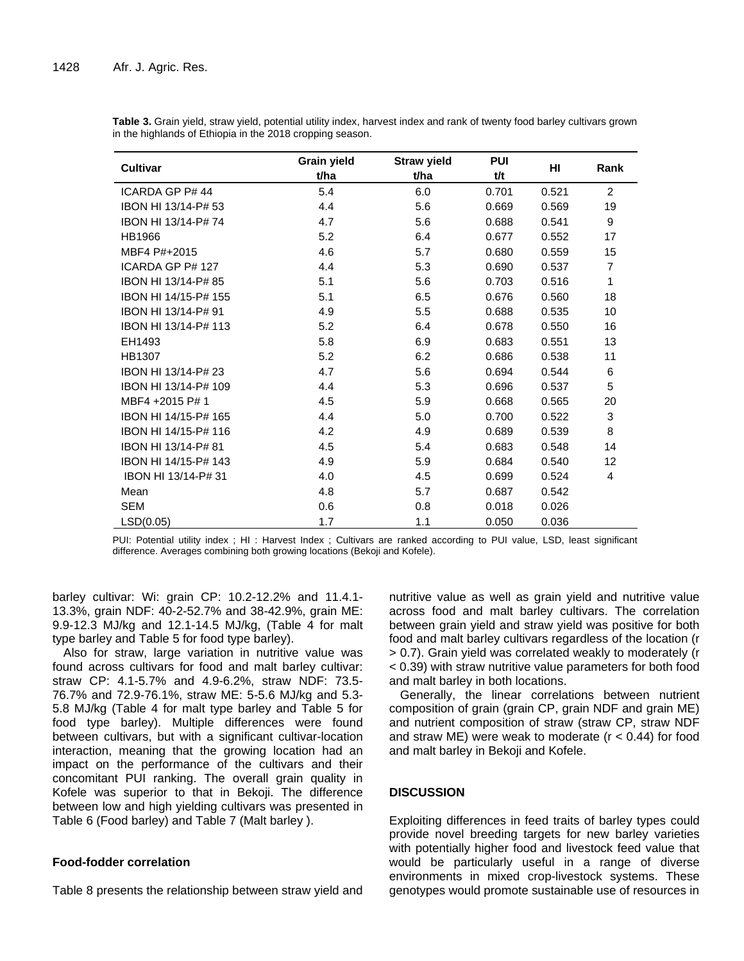| <b>Cultivar</b>      | Grain yield<br>t/ha | <b>Straw yield</b><br>t/ha | <b>PUI</b><br>t/t | HI    | Rank           |
|----------------------|---------------------|----------------------------|-------------------|-------|----------------|
| ICARDA GP P# 44      | 5.4                 | 6.0                        | 0.701             | 0.521 | $\overline{2}$ |
| IBON HI 13/14-P# 53  | 4.4                 | 5.6                        | 0.669             | 0.569 | 19             |
| IBON HI 13/14-P#74   | 4.7                 | 5.6                        | 0.688             | 0.541 | 9              |
| HB1966               | 5.2                 | 6.4                        | 0.677             | 0.552 | 17             |
| MBF4 P#+2015         | 4.6                 | 5.7                        | 0.680             | 0.559 | 15             |
| ICARDA GP P# 127     | 4.4                 | 5.3                        | 0.690             | 0.537 | $\overline{7}$ |
| IBON HI 13/14-P# 85  | 5.1                 | 5.6                        | 0.703             | 0.516 | 1              |
| IBON HI 14/15-P# 155 | 5.1                 | 6.5                        | 0.676             | 0.560 | 18             |
| IBON HI 13/14-P# 91  | 4.9                 | 5.5                        | 0.688             | 0.535 | 10             |
| IBON HI 13/14-P# 113 | 5.2                 | 6.4                        | 0.678             | 0.550 | 16             |
| EH1493               | 5.8                 | 6.9                        | 0.683             | 0.551 | 13             |
| <b>HB1307</b>        | 5.2                 | 6.2                        | 0.686             | 0.538 | 11             |
| IBON HI 13/14-P# 23  | 4.7                 | 5.6                        | 0.694             | 0.544 | 6              |
| IBON HI 13/14-P# 109 | 4.4                 | 5.3                        | 0.696             | 0.537 | 5              |
| MBF4 +2015 P# 1      | 4.5                 | 5.9                        | 0.668             | 0.565 | 20             |
| IBON HI 14/15-P# 165 | 4.4                 | 5.0                        | 0.700             | 0.522 | 3              |
| IBON HI 14/15-P# 116 | 4.2                 | 4.9                        | 0.689             | 0.539 | 8              |
| IBON HI 13/14-P# 81  | 4.5                 | 5.4                        | 0.683             | 0.548 | 14             |
| IBON HI 14/15-P# 143 | 4.9                 | 5.9                        | 0.684             | 0.540 | 12             |
| IBON HI 13/14-P# 31  | 4.0                 | 4.5                        | 0.699             | 0.524 | 4              |
| Mean                 | 4.8                 | 5.7                        | 0.687             | 0.542 |                |
| <b>SEM</b>           | 0.6                 | 0.8                        | 0.018             | 0.026 |                |
| LSD(0.05)            | 1.7                 | 1.1                        | 0.050             | 0.036 |                |

**Table 3.** Grain yield, straw yield, potential utility index, harvest index and rank of twenty food barley cultivars grown in the highlands of Ethiopia in the 2018 cropping season.

PUI: Potential utility index ; HI : Harvest Index ; Cultivars are ranked according to PUI value, LSD, least significant difference. Averages combining both growing locations (Bekoji and Kofele).

barley cultivar: Wi: grain CP: 10.2-12.2% and 11.4.1- 13.3%, grain NDF: 40-2-52.7% and 38-42.9%, grain ME: 9.9-12.3 MJ/kg and 12.1-14.5 MJ/kg, (Table 4 for malt type barley and Table 5 for food type barley).

Also for straw, large variation in nutritive value was found across cultivars for food and malt barley cultivar: straw CP: 4.1-5.7% and 4.9-6.2%, straw NDF: 73.5- 76.7% and 72.9-76.1%, straw ME: 5-5.6 MJ/kg and 5.3- 5.8 MJ/kg (Table 4 for malt type barley and Table 5 for food type barley). Multiple differences were found between cultivars, but with a significant cultivar-location interaction, meaning that the growing location had an impact on the performance of the cultivars and their concomitant PUI ranking. The overall grain quality in Kofele was superior to that in Bekoji. The difference between low and high yielding cultivars was presented in Table 6 (Food barley) and Table 7 (Malt barley ).

# **Food-fodder correlation**

Table 8 presents the relationship between straw yield and

nutritive value as well as grain yield and nutritive value across food and malt barley cultivars. The correlation between grain yield and straw yield was positive for both food and malt barley cultivars regardless of the location (r > 0.7). Grain yield was correlated weakly to moderately (r < 0.39) with straw nutritive value parameters for both food and malt barley in both locations.

Generally, the linear correlations between nutrient composition of grain (grain CP, grain NDF and grain ME) and nutrient composition of straw (straw CP, straw NDF and straw ME) were weak to moderate ( $r < 0.44$ ) for food and malt barley in Bekoji and Kofele.

# **DISCUSSION**

Exploiting differences in feed traits of barley types could provide novel breeding targets for new barley varieties with potentially higher food and livestock feed value that would be particularly useful in a range of diverse environments in mixed crop-livestock systems. These genotypes would promote sustainable use of resources in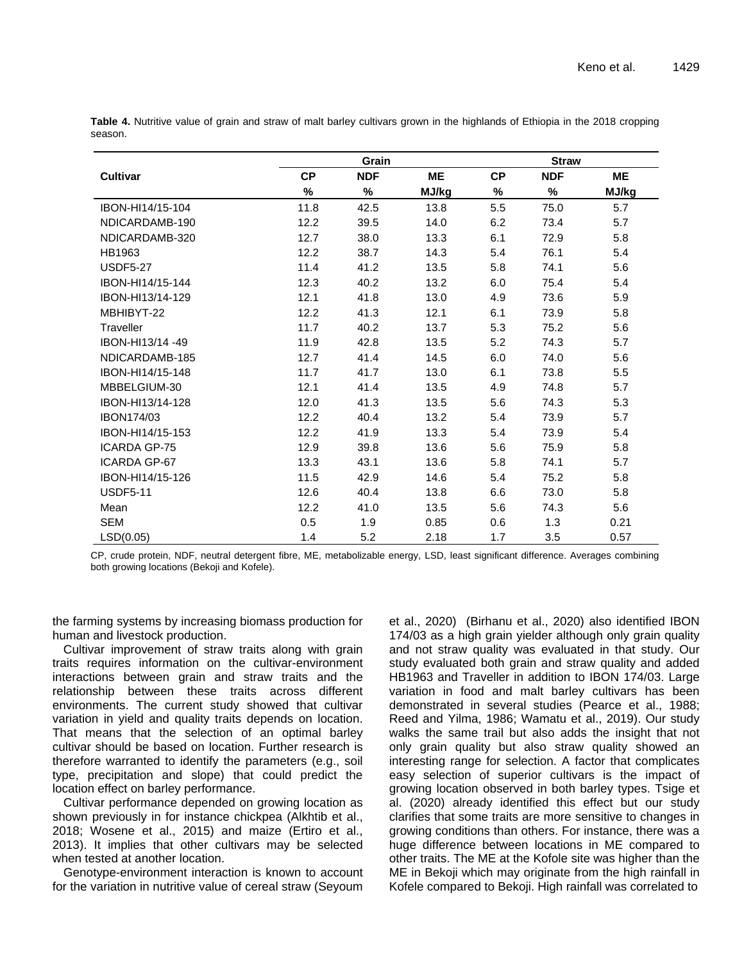|                     |           | Grain      |           | <b>Straw</b> |            |       |  |
|---------------------|-----------|------------|-----------|--------------|------------|-------|--|
| <b>Cultivar</b>     | <b>CP</b> | <b>NDF</b> | <b>ME</b> | <b>CP</b>    | <b>NDF</b> | ME    |  |
|                     | $\%$      | $\%$       | MJ/kg     | %            | %          | MJ/kg |  |
| IBON-HI14/15-104    | 11.8      | 42.5       | 13.8      | 5.5          | 75.0       | 5.7   |  |
| NDICARDAMB-190      | 12.2      | 39.5       | 14.0      | 6.2          | 73.4       | 5.7   |  |
| NDICARDAMB-320      | 12.7      | 38.0       | 13.3      | 6.1          | 72.9       | 5.8   |  |
| HB1963              | 12.2      | 38.7       | 14.3      | 5.4          | 76.1       | 5.4   |  |
| <b>USDF5-27</b>     | 11.4      | 41.2       | 13.5      | 5.8          | 74.1       | 5.6   |  |
| IBON-HI14/15-144    | 12.3      | 40.2       | 13.2      | 6.0          | 75.4       | 5.4   |  |
| IBON-HI13/14-129    | 12.1      | 41.8       | 13.0      | 4.9          | 73.6       | 5.9   |  |
| MBHIBYT-22          | 12.2      | 41.3       | 12.1      | 6.1          | 73.9       | 5.8   |  |
| Traveller           | 11.7      | 40.2       | 13.7      | 5.3          | 75.2       | 5.6   |  |
| IBON-HI13/14 -49    | 11.9      | 42.8       | 13.5      | 5.2          | 74.3       | 5.7   |  |
| NDICARDAMB-185      | 12.7      | 41.4       | 14.5      | 6.0          | 74.0       | 5.6   |  |
| IBON-HI14/15-148    | 11.7      | 41.7       | 13.0      | 6.1          | 73.8       | 5.5   |  |
| MBBELGIUM-30        | 12.1      | 41.4       | 13.5      | 4.9          | 74.8       | 5.7   |  |
| IBON-HI13/14-128    | 12.0      | 41.3       | 13.5      | 5.6          | 74.3       | 5.3   |  |
| IBON174/03          | 12.2      | 40.4       | 13.2      | 5.4          | 73.9       | 5.7   |  |
| IBON-HI14/15-153    | 12.2      | 41.9       | 13.3      | 5.4          | 73.9       | 5.4   |  |
| <b>ICARDA GP-75</b> | 12.9      | 39.8       | 13.6      | 5.6          | 75.9       | 5.8   |  |
| <b>ICARDA GP-67</b> | 13.3      | 43.1       | 13.6      | 5.8          | 74.1       | 5.7   |  |
| IBON-HI14/15-126    | 11.5      | 42.9       | 14.6      | 5.4          | 75.2       | 5.8   |  |
| <b>USDF5-11</b>     | 12.6      | 40.4       | 13.8      | 6.6          | 73.0       | 5.8   |  |
| Mean                | 12.2      | 41.0       | 13.5      | 5.6          | 74.3       | 5.6   |  |
| <b>SEM</b>          | 0.5       | 1.9        | 0.85      | 0.6          | 1.3        | 0.21  |  |
| LSD(0.05)           | 1.4       | 5.2        | 2.18      | 1.7          | 3.5        | 0.57  |  |

**Table 4.** Nutritive value of grain and straw of malt barley cultivars grown in the highlands of Ethiopia in the 2018 cropping season.

CP, crude protein, NDF, neutral detergent fibre, ME, metabolizable energy, LSD, least significant difference. Averages combining both growing locations (Bekoji and Kofele).

the farming systems by increasing biomass production for human and livestock production.

Cultivar improvement of straw traits along with grain traits requires information on the cultivar-environment interactions between grain and straw traits and the relationship between these traits across different environments. The current study showed that cultivar variation in yield and quality traits depends on location. That means that the selection of an optimal barley cultivar should be based on location. Further research is therefore warranted to identify the parameters (e.g., soil type, precipitation and slope) that could predict the location effect on barley performance.

Cultivar performance depended on growing location as shown previously in for instance chickpea (Alkhtib et al., 2018; Wosene et al., 2015) and maize (Ertiro et al., 2013). It implies that other cultivars may be selected when tested at another location.

Genotype-environment interaction is known to account for the variation in nutritive value of cereal straw (Seyoum et al., 2020) (Birhanu et al., 2020) also identified IBON 174/03 as a high grain yielder although only grain quality and not straw quality was evaluated in that study. Our study evaluated both grain and straw quality and added HB1963 and Traveller in addition to IBON 174/03. Large variation in food and malt barley cultivars has been demonstrated in several studies (Pearce et al., 1988; Reed and Yilma, 1986; Wamatu et al., 2019). Our study walks the same trail but also adds the insight that not only grain quality but also straw quality showed an interesting range for selection. A factor that complicates easy selection of superior cultivars is the impact of growing location observed in both barley types. Tsige et al. (2020) already identified this effect but our study clarifies that some traits are more sensitive to changes in growing conditions than others. For instance, there was a huge difference between locations in ME compared to other traits. The ME at the Kofole site was higher than the ME in Bekoji which may originate from the high rainfall in Kofele compared to Bekoji. High rainfall was correlated to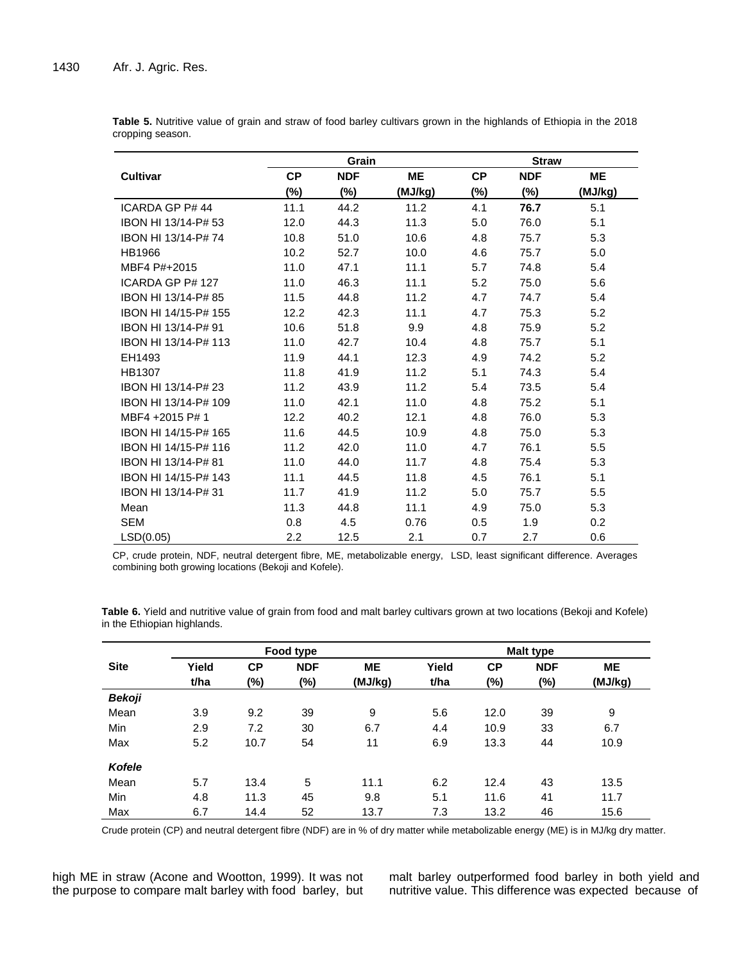|                      | Grain     |            |           | <b>Straw</b> |            |         |  |  |
|----------------------|-----------|------------|-----------|--------------|------------|---------|--|--|
| <b>Cultivar</b>      | <b>CP</b> | <b>NDF</b> | <b>ME</b> | <b>CP</b>    | <b>NDF</b> | ME      |  |  |
|                      | $(\%)$    | $(\%)$     | (MJ/kg)   | $(\%)$       | $(\%)$     | (MJ/kg) |  |  |
| ICARDA GP P# 44      | 11.1      | 44.2       | 11.2      | 4.1          | 76.7       | 5.1     |  |  |
| IBON HI 13/14-P# 53  | 12.0      | 44.3       | 11.3      | 5.0          | 76.0       | 5.1     |  |  |
| IBON HI 13/14-P#74   | 10.8      | 51.0       | 10.6      | 4.8          | 75.7       | 5.3     |  |  |
| HB1966               | 10.2      | 52.7       | 10.0      | 4.6          | 75.7       | 5.0     |  |  |
| MBF4 P#+2015         | 11.0      | 47.1       | 11.1      | 5.7          | 74.8       | 5.4     |  |  |
| ICARDA GP P# 127     | 11.0      | 46.3       | 11.1      | 5.2          | 75.0       | 5.6     |  |  |
| IBON HI 13/14-P# 85  | 11.5      | 44.8       | 11.2      | 4.7          | 74.7       | 5.4     |  |  |
| IBON HI 14/15-P# 155 | 12.2      | 42.3       | 11.1      | 4.7          | 75.3       | 5.2     |  |  |
| IBON HI 13/14-P# 91  | 10.6      | 51.8       | 9.9       | 4.8          | 75.9       | 5.2     |  |  |
| IBON HI 13/14-P# 113 | 11.0      | 42.7       | 10.4      | 4.8          | 75.7       | 5.1     |  |  |
| EH1493               | 11.9      | 44.1       | 12.3      | 4.9          | 74.2       | 5.2     |  |  |
| HB1307               | 11.8      | 41.9       | 11.2      | 5.1          | 74.3       | 5.4     |  |  |
| IBON HI 13/14-P# 23  | 11.2      | 43.9       | 11.2      | 5.4          | 73.5       | 5.4     |  |  |
| IBON HI 13/14-P# 109 | 11.0      | 42.1       | 11.0      | 4.8          | 75.2       | 5.1     |  |  |
| MBF4 +2015 P# 1      | 12.2      | 40.2       | 12.1      | 4.8          | 76.0       | 5.3     |  |  |
| IBON HI 14/15-P# 165 | 11.6      | 44.5       | 10.9      | 4.8          | 75.0       | 5.3     |  |  |
| IBON HI 14/15-P# 116 | 11.2      | 42.0       | 11.0      | 4.7          | 76.1       | 5.5     |  |  |
| IBON HI 13/14-P#81   | 11.0      | 44.0       | 11.7      | 4.8          | 75.4       | 5.3     |  |  |
| IBON HI 14/15-P# 143 | 11.1      | 44.5       | 11.8      | 4.5          | 76.1       | 5.1     |  |  |
| IBON HI 13/14-P# 31  | 11.7      | 41.9       | 11.2      | 5.0          | 75.7       | 5.5     |  |  |
| Mean                 | 11.3      | 44.8       | 11.1      | 4.9          | 75.0       | 5.3     |  |  |
| <b>SEM</b>           | 0.8       | 4.5        | 0.76      | 0.5          | 1.9        | 0.2     |  |  |
| LSD(0.05)            | 2.2       | 12.5       | 2.1       | 0.7          | 2.7        | 0.6     |  |  |

**Table 5.** Nutritive value of grain and straw of food barley cultivars grown in the highlands of Ethiopia in the 2018 cropping season.

CP, crude protein, NDF, neutral detergent fibre, ME, metabolizable energy, LSD, least significant difference. Averages combining both growing locations (Bekoji and Kofele).

|               |       |           | Food type  |           |       |           | <b>Malt type</b> |           |
|---------------|-------|-----------|------------|-----------|-------|-----------|------------------|-----------|
| <b>Site</b>   | Yield | <b>CP</b> | <b>NDF</b> | <b>ME</b> | Yield | <b>CP</b> | <b>NDF</b>       | <b>ME</b> |
|               | t/ha  | $(\%)$    | (%)        | (MJ/kg)   | t/ha  | (%)       | (%)              | (MJ/kg)   |
| Bekoji        |       |           |            |           |       |           |                  |           |
| Mean          | 3.9   | 9.2       | 39         | 9         | 5.6   | 12.0      | 39               | 9         |
| Min           | 2.9   | 7.2       | 30         | 6.7       | 4.4   | 10.9      | 33               | 6.7       |
| Max           | 5.2   | 10.7      | 54         | 11        | 6.9   | 13.3      | 44               | 10.9      |
| <b>Kofele</b> |       |           |            |           |       |           |                  |           |
| Mean          | 5.7   | 13.4      | 5          | 11.1      | 6.2   | 12.4      | 43               | 13.5      |
| Min           | 4.8   | 11.3      | 45         | 9.8       | 5.1   | 11.6      | 41               | 11.7      |
| Max           | 6.7   | 14.4      | 52         | 13.7      | 7.3   | 13.2      | 46               | 15.6      |

**Table 6.** Yield and nutritive value of grain from food and malt barley cultivars grown at two locations (Bekoji and Kofele) in the Ethiopian highlands.

Crude protein (CP) and neutral detergent fibre (NDF) are in % of dry matter while metabolizable energy (ME) is in MJ/kg dry matter.

high ME in straw (Acone and Wootton, 1999). It was not the purpose to compare malt barley with food barley, but malt barley outperformed food barley in both yield and nutritive value. This difference was expected because of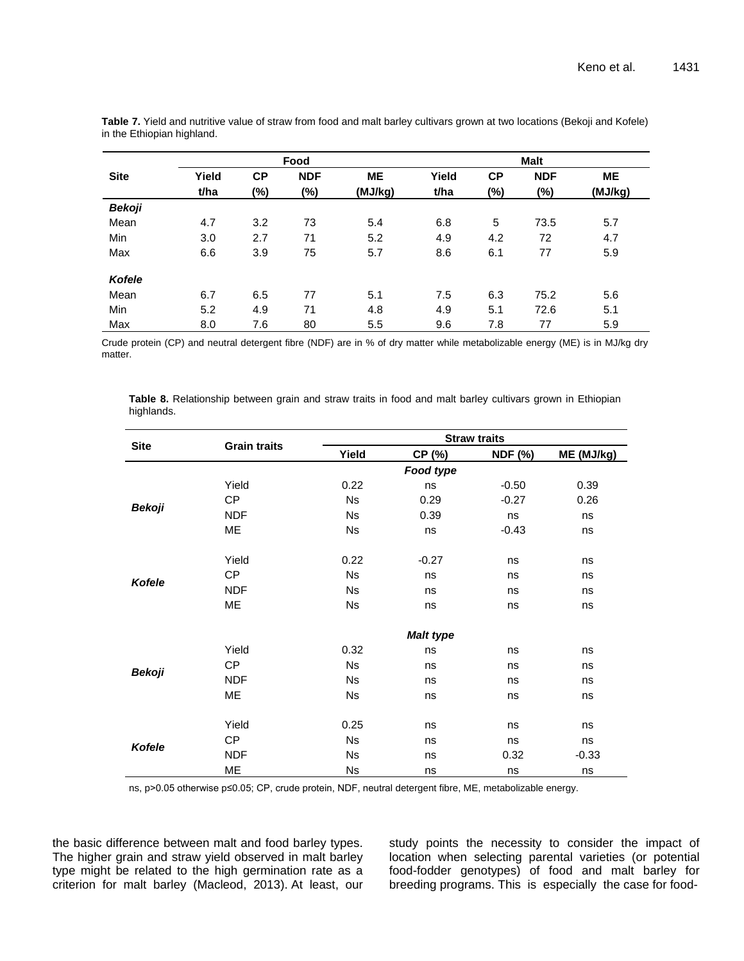|               |       |           | Food       |           |       |           | <b>Malt</b> |           |
|---------------|-------|-----------|------------|-----------|-------|-----------|-------------|-----------|
| <b>Site</b>   | Yield | <b>CP</b> | <b>NDF</b> | <b>ME</b> | Yield | <b>CP</b> | <b>NDF</b>  | <b>ME</b> |
|               | t/ha  | (%)       | (%)        | (MJ/kg)   | t/ha  | (%)       | $(\%)$      | (MJ/kg)   |
| <b>Bekoji</b> |       |           |            |           |       |           |             |           |
| Mean          | 4.7   | 3.2       | 73         | 5.4       | 6.8   | 5         | 73.5        | 5.7       |
| <b>Min</b>    | 3.0   | 2.7       | 71         | 5.2       | 4.9   | 4.2       | 72          | 4.7       |
| Max           | 6.6   | 3.9       | 75         | 5.7       | 8.6   | 6.1       | 77          | 5.9       |
| <b>Kofele</b> |       |           |            |           |       |           |             |           |
| Mean          | 6.7   | 6.5       | 77         | 5.1       | 7.5   | 6.3       | 75.2        | 5.6       |
| Min           | 5.2   | 4.9       | 71         | 4.8       | 4.9   | 5.1       | 72.6        | 5.1       |
| Max           | 8.0   | 7.6       | 80         | 5.5       | 9.6   | 7.8       | 77          | 5.9       |

**Table 7.** Yield and nutritive value of straw from food and malt barley cultivars grown at two locations (Bekoji and Kofele) in the Ethiopian highland.

Crude protein (CP) and neutral detergent fibre (NDF) are in % of dry matter while metabolizable energy (ME) is in MJ/kg dry matter.

**Table 8.** Relationship between grain and straw traits in food and malt barley cultivars grown in Ethiopian highlands.

|               |                     | <b>Straw traits</b> |                  |                |            |  |  |  |
|---------------|---------------------|---------------------|------------------|----------------|------------|--|--|--|
| <b>Site</b>   | <b>Grain traits</b> | Yield               | CP (%)           | <b>NDF (%)</b> | ME (MJ/kg) |  |  |  |
|               |                     |                     | Food type        |                |            |  |  |  |
|               | Yield               | 0.22                | ns               | $-0.50$        | 0.39       |  |  |  |
|               | CP                  | <b>Ns</b>           | 0.29             | $-0.27$        | 0.26       |  |  |  |
| <b>Bekoji</b> | <b>NDF</b>          | <b>Ns</b>           | 0.39             | ns             | ns         |  |  |  |
|               | ME                  | Ns                  | ns               | $-0.43$        | ns         |  |  |  |
|               | Yield               | 0.22                | $-0.27$          | ns             | ns         |  |  |  |
|               | CP                  | <b>Ns</b>           | ns               | ns             | ns         |  |  |  |
| <b>Kofele</b> | <b>NDF</b>          | <b>Ns</b>           | ns               | ns             | ns         |  |  |  |
|               | ME                  | <b>Ns</b>           | ns               | ns             | ns         |  |  |  |
|               |                     |                     | <b>Malt type</b> |                |            |  |  |  |
|               | Yield               | 0.32                | ns               | ns             | ns         |  |  |  |
|               | CP                  | <b>Ns</b>           | ns               | ns             | ns         |  |  |  |
| <b>Bekoji</b> | <b>NDF</b>          | <b>Ns</b>           | ns               | ns             | ns         |  |  |  |
|               | ME                  | <b>Ns</b>           | ns               | ns             | ns         |  |  |  |
|               | Yield               | 0.25                | ns               | ns             | ns         |  |  |  |
|               | CP                  | <b>Ns</b>           | ns               | ns             | ns         |  |  |  |
| Kofele        | <b>NDF</b>          | <b>Ns</b>           | ns               | 0.32           | $-0.33$    |  |  |  |
|               | ME                  | <b>Ns</b>           | ns               | ns             | ns         |  |  |  |

ns, p>0.05 otherwise p≤0.05; CP, crude protein, NDF, neutral detergent fibre, ME, metabolizable energy.

the basic difference between malt and food barley types. The higher grain and straw yield observed in malt barley type might be related to the high germination rate as a criterion for malt barley (Macleod, 2013). At least, our study points the necessity to consider the impact of location when selecting parental varieties (or potential food-fodder genotypes) of food and malt barley for breeding programs. This is especially the case for food